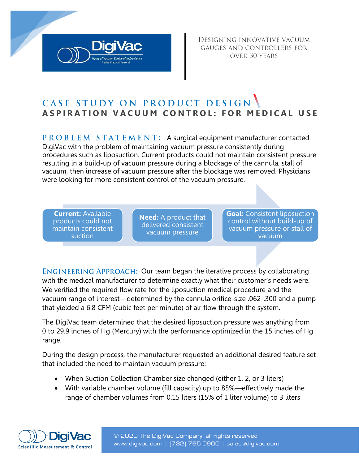DESIGNING INNOVATIVE VACUUM GAUGES AND CONTROLLERS FOR OVER 30 YEARS

## CASE STUDY ON PRODUCT DESIGN **ASPIRATION VACUUM CONTROL: FOR MEDICAL USE**

 $P$  R O B L E M  $S$  T A T E M E N T: A surgical equipment manufacturer contacted DigiVac with the problem of maintaining vacuum pressure consistently during procedures such as liposuction. Current products could not maintain consistent pressure resulting in a build-up of vacuum pressure during a blockage of the cannula, stall of vacuum, then increase of vacuum pressure after the blockage was removed. Physicians were looking for more consistent control of the vacuum pressure.

**Current:** Available products could not maintain consistent suction

**Need:** A product that delivered consistent vacuum pressure

**Goal:** Consistent liposuction control without build-up of vacuum pressure or stall of vacuum

ENGINEERING APPROACH: Our team began the iterative process by collaborating with the medical manufacturer to determine exactly what their customer's needs were. We verified the required flow rate for the liposuction medical procedure and the vacuum range of interest—determined by the cannula orifice-size .062-.300 and a pump that yielded a 6.8 CFM (cubic feet per minute) of air flow through the system.

The DigiVac team determined that the desired liposuction pressure was anything from 0 to 29.9 inches of Hg (Mercury) with the performance optimized in the 15 inches of Hg range.

During the design process, the manufacturer requested an additional desired feature set that included the need to maintain vacuum pressure:

- When Suction Collection Chamber size changed (either 1, 2, or 3 liters)
- With variable chamber volume (fill capacity) up to 85%—effectively made the range of chamber volumes from 0.15 liters (15% of 1 liter volume) to 3 liters



© 2020 The DigiVac Company, all rights reserved www.digivac.com | ([732\) 765-0900 | sales@digiv](mailto:sales@digivac.com)a[c.com](http://www.digivac.com/)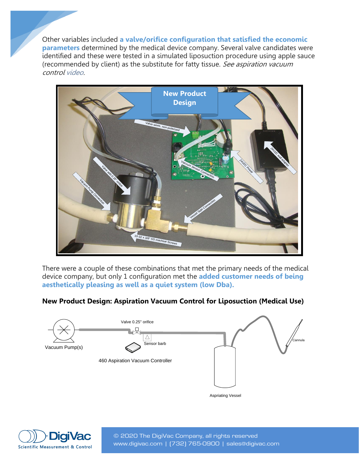Other variables included **a valve/orifice configuration that satisfied the economic parameters** determined by the medical device company. Several valve candidates were identified and these were tested in a simulated liposuction procedure using apple sauce (recommended by client) as the substitute for fatty tissue. See aspiration vacuum contro[l video.](https://www.youtube.com/watch?v=hyBMpOcWS2A)



There were a couple of these combinations that met the primary needs of the medical device company, but only 1 configuration met the **added customer needs of being aesthetically pleasing as well as a quiet system (low Dba).**

## **New Product Design: Aspiration Vacuum Control for Liposuction (Medical Use)**





© 2020 The DigiVac Company, all rights reserved www.digivac.com | ([732\) 765-0900 | sales@digiv](mailto:sales@digivac.com)a[c.com](http://www.digivac.com/)